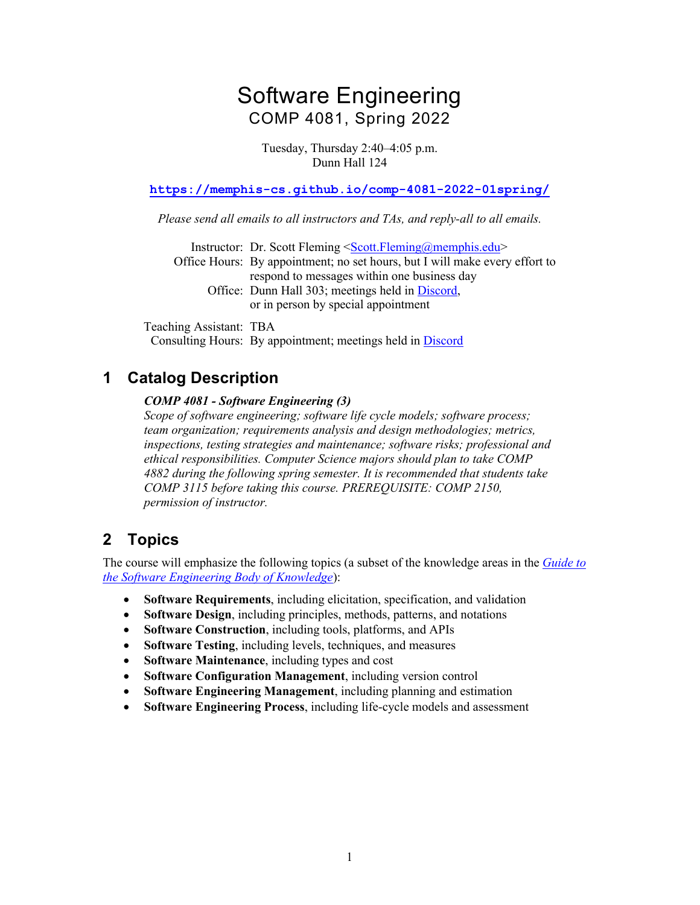# Software Engineering COMP 4081, Spring 2022

Tuesday, Thursday 2:40–4:05 p.m. Dunn Hall 124

**https://memphis-cs.github.io/comp-4081-2022-01spring/**

*Please send all emails to all instructors and TAs, and reply-all to all emails.*

Instructor: Dr. Scott Fleming <Scott.Fleming@memphis.edu> Office Hours: By appointment; no set hours, but I will make every effort to respond to messages within one business day Office: Dunn Hall 303; meetings held in Discord, or in person by special appointment

Teaching Assistant: TBA Consulting Hours: By appointment; meetings held in Discord

### **1 Catalog Description**

#### *COMP 4081 - Software Engineering (3)*

*Scope of software engineering; software life cycle models; software process; team organization; requirements analysis and design methodologies; metrics, inspections, testing strategies and maintenance; software risks; professional and ethical responsibilities. Computer Science majors should plan to take COMP 4882 during the following spring semester. It is recommended that students take COMP 3115 before taking this course. PREREQUISITE: COMP 2150, permission of instructor.*

### **2 Topics**

The course will emphasize the following topics (a subset of the knowledge areas in the *Guide to the Software Engineering Body of Knowledge*):

- **Software Requirements**, including elicitation, specification, and validation
- **Software Design**, including principles, methods, patterns, and notations
- **Software Construction**, including tools, platforms, and APIs
- **Software Testing**, including levels, techniques, and measures
- **Software Maintenance**, including types and cost
- **Software Configuration Management**, including version control
- **Software Engineering Management**, including planning and estimation
- **Software Engineering Process**, including life-cycle models and assessment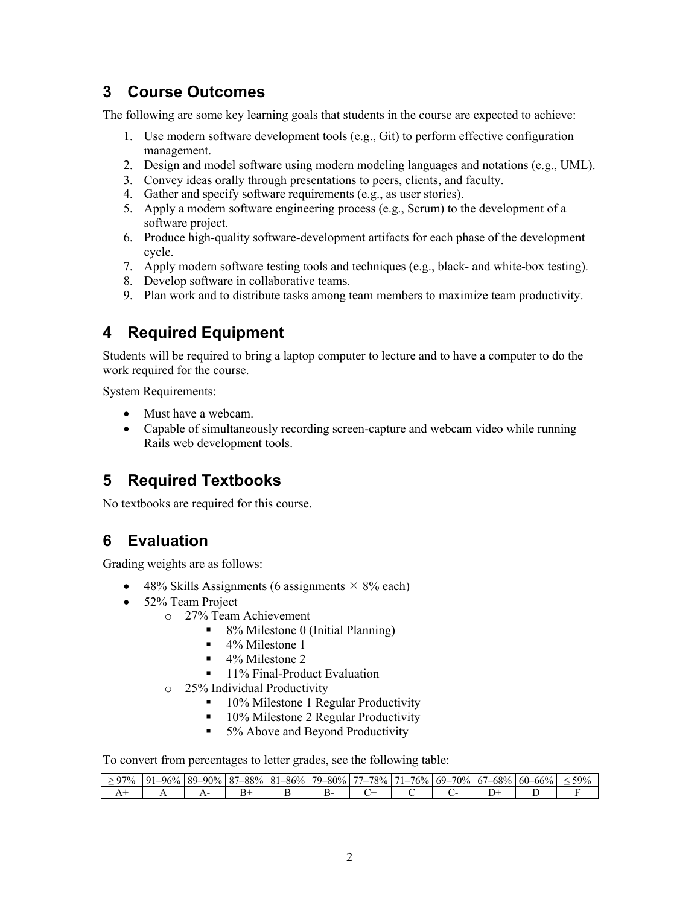### **3 Course Outcomes**

The following are some key learning goals that students in the course are expected to achieve:

- 1. Use modern software development tools (e.g., Git) to perform effective configuration management.
- 2. Design and model software using modern modeling languages and notations (e.g., UML).
- 3. Convey ideas orally through presentations to peers, clients, and faculty.
- 4. Gather and specify software requirements (e.g., as user stories).
- 5. Apply a modern software engineering process (e.g., Scrum) to the development of a software project.
- 6. Produce high-quality software-development artifacts for each phase of the development cycle.
- 7. Apply modern software testing tools and techniques (e.g., black- and white-box testing).
- 8. Develop software in collaborative teams.
- 9. Plan work and to distribute tasks among team members to maximize team productivity.

## **4 Required Equipment**

Students will be required to bring a laptop computer to lecture and to have a computer to do the work required for the course.

System Requirements:

- Must have a webcam.
- Capable of simultaneously recording screen-capture and webcam video while running Rails web development tools.

## **5 Required Textbooks**

No textbooks are required for this course.

### **6 Evaluation**

Grading weights are as follows:

- 48% Skills Assignments (6 assignments  $\times$  8% each)
- 52% Team Project
	- o 27% Team Achievement
		- 8% Milestone 0 (Initial Planning)
		- $\blacksquare$  4% Milestone 1
		- $\blacksquare$  4% Milestone 2
		- 11% Final-Product Evaluation
	- o 25% Individual Productivity
		- 10% Milestone 1 Regular Productivity
		- 10% Milestone 2 Regular Productivity
		- 5% Above and Beyond Productivity

To convert from percentages to letter grades, see the following table:

| 97% | 96%<br>$^{\Omega}$ | $-90\%$<br>$89 -$ | '–88%<br>O <sub>7</sub><br>$\circ$ | $-86%$<br>$\Omega$ 1 | 79–80% | $\overline{a}$<br>78%<br>._ | 76%<br>$\sim$ | $69 - 70\%$ | $-68\%$<br>67<br>◡ | $-66%$<br>$\sim$ $\sim$<br>$60 -$ | 59% |
|-----|--------------------|-------------------|------------------------------------|----------------------|--------|-----------------------------|---------------|-------------|--------------------|-----------------------------------|-----|
|     |                    |                   |                                    |                      | ۰.     |                             |               |             |                    |                                   |     |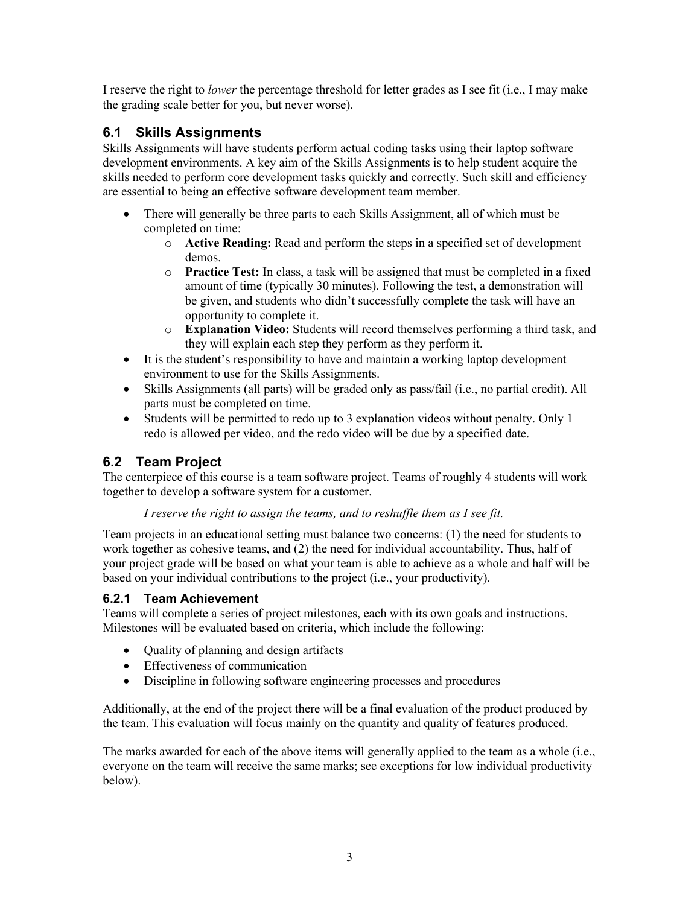I reserve the right to *lower* the percentage threshold for letter grades as I see fit (i.e., I may make the grading scale better for you, but never worse).

#### **6.1 Skills Assignments**

Skills Assignments will have students perform actual coding tasks using their laptop software development environments. A key aim of the Skills Assignments is to help student acquire the skills needed to perform core development tasks quickly and correctly. Such skill and efficiency are essential to being an effective software development team member.

- There will generally be three parts to each Skills Assignment, all of which must be completed on time:
	- o **Active Reading:** Read and perform the steps in a specified set of development demos.
	- o **Practice Test:** In class, a task will be assigned that must be completed in a fixed amount of time (typically 30 minutes). Following the test, a demonstration will be given, and students who didn't successfully complete the task will have an opportunity to complete it.
	- o **Explanation Video:** Students will record themselves performing a third task, and they will explain each step they perform as they perform it.
- It is the student's responsibility to have and maintain a working laptop development environment to use for the Skills Assignments.
- Skills Assignments (all parts) will be graded only as pass/fail (i.e., no partial credit). All parts must be completed on time.
- Students will be permitted to redo up to 3 explanation videos without penalty. Only 1 redo is allowed per video, and the redo video will be due by a specified date.

### **6.2 Team Project**

The centerpiece of this course is a team software project. Teams of roughly 4 students will work together to develop a software system for a customer.

#### *I reserve the right to assign the teams, and to reshuffle them as I see fit.*

Team projects in an educational setting must balance two concerns: (1) the need for students to work together as cohesive teams, and (2) the need for individual accountability. Thus, half of your project grade will be based on what your team is able to achieve as a whole and half will be based on your individual contributions to the project (i.e., your productivity).

#### **6.2.1 Team Achievement**

Teams will complete a series of project milestones, each with its own goals and instructions. Milestones will be evaluated based on criteria, which include the following:

- Quality of planning and design artifacts
- Effectiveness of communication
- Discipline in following software engineering processes and procedures

Additionally, at the end of the project there will be a final evaluation of the product produced by the team. This evaluation will focus mainly on the quantity and quality of features produced.

The marks awarded for each of the above items will generally applied to the team as a whole (i.e., everyone on the team will receive the same marks; see exceptions for low individual productivity below).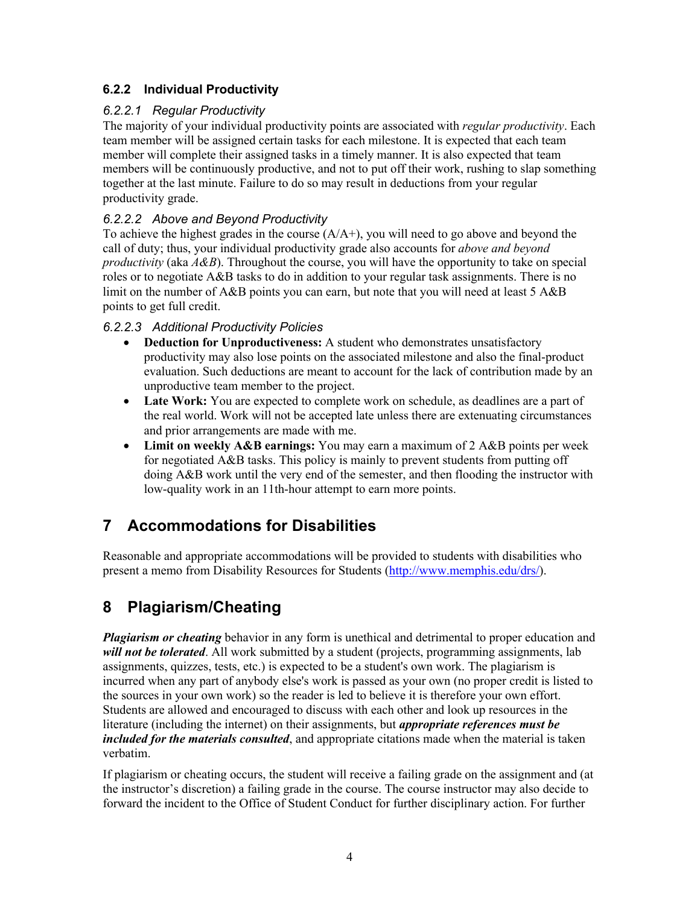#### **6.2.2 Individual Productivity**

#### *6.2.2.1 Regular Productivity*

The majority of your individual productivity points are associated with *regular productivity*. Each team member will be assigned certain tasks for each milestone. It is expected that each team member will complete their assigned tasks in a timely manner. It is also expected that team members will be continuously productive, and not to put off their work, rushing to slap something together at the last minute. Failure to do so may result in deductions from your regular productivity grade.

#### *6.2.2.2 Above and Beyond Productivity*

To achieve the highest grades in the course  $(A/A+)$ , you will need to go above and beyond the call of duty; thus, your individual productivity grade also accounts for *above and beyond productivity* (aka *A&B*). Throughout the course, you will have the opportunity to take on special roles or to negotiate A&B tasks to do in addition to your regular task assignments. There is no limit on the number of A&B points you can earn, but note that you will need at least 5 A&B points to get full credit.

#### *6.2.2.3 Additional Productivity Policies*

- **Deduction for Unproductiveness:** A student who demonstrates unsatisfactory productivity may also lose points on the associated milestone and also the final-product evaluation. Such deductions are meant to account for the lack of contribution made by an unproductive team member to the project.
- Late Work: You are expected to complete work on schedule, as deadlines are a part of the real world. Work will not be accepted late unless there are extenuating circumstances and prior arrangements are made with me.
- **Limit on weekly A&B earnings:** You may earn a maximum of 2 A&B points per week for negotiated A&B tasks. This policy is mainly to prevent students from putting off doing A&B work until the very end of the semester, and then flooding the instructor with low-quality work in an 11th-hour attempt to earn more points.

## **7 Accommodations for Disabilities**

Reasonable and appropriate accommodations will be provided to students with disabilities who present a memo from Disability Resources for Students (http://www.memphis.edu/drs/).

## **8 Plagiarism/Cheating**

*Plagiarism or cheating* behavior in any form is unethical and detrimental to proper education and *will not be tolerated*. All work submitted by a student (projects, programming assignments, lab assignments, quizzes, tests, etc.) is expected to be a student's own work. The plagiarism is incurred when any part of anybody else's work is passed as your own (no proper credit is listed to the sources in your own work) so the reader is led to believe it is therefore your own effort. Students are allowed and encouraged to discuss with each other and look up resources in the literature (including the internet) on their assignments, but *appropriate references must be included for the materials consulted*, and appropriate citations made when the material is taken verbatim.

If plagiarism or cheating occurs, the student will receive a failing grade on the assignment and (at the instructor's discretion) a failing grade in the course. The course instructor may also decide to forward the incident to the Office of Student Conduct for further disciplinary action. For further